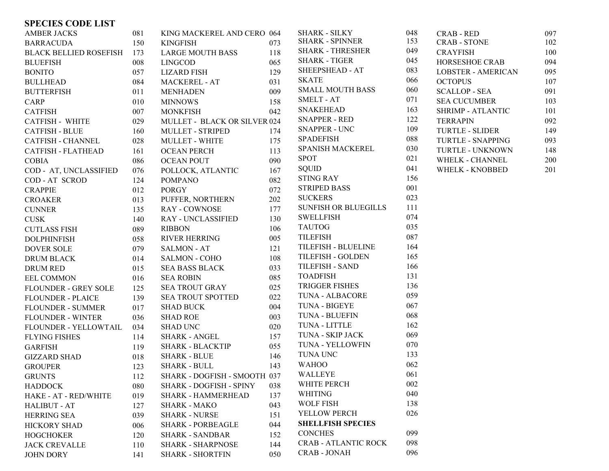## **SPECIES CODE LIST**

| <b>AMBER JACKS</b>           | 081 | KING MACKEREL AND CERO 064   |     | <b>SHARK - SILKY</b>        | 048 | <b>CRAB - RED</b>         | 097 |
|------------------------------|-----|------------------------------|-----|-----------------------------|-----|---------------------------|-----|
| <b>BARRACUDA</b>             | 150 | <b>KINGFISH</b>              | 073 | <b>SHARK - SPINNER</b>      | 153 | <b>CRAB - STONE</b>       | 102 |
| BLACK BELLIED ROSEFISH 173   |     | <b>LARGE MOUTH BASS</b>      | 118 | <b>SHARK - THRESHER</b>     | 049 | <b>CRAYFISH</b>           | 100 |
| <b>BLUEFISH</b>              | 008 | <b>LINGCOD</b>               | 065 | <b>SHARK - TIGER</b>        | 045 | HORSESHOE CRAB            | 094 |
| <b>BONITO</b>                | 057 | <b>LIZARD FISH</b>           | 129 | SHEEPSHEAD - AT             | 083 | <b>LOBSTER - AMERICAN</b> | 095 |
| <b>BULLHEAD</b>              | 084 | <b>MACKEREL - AT</b>         | 031 | <b>SKATE</b>                | 066 | <b>OCTOPUS</b>            | 107 |
| <b>BUTTERFISH</b>            | 011 | MENHADEN                     | 009 | <b>SMALL MOUTH BASS</b>     | 060 | <b>SCALLOP - SEA</b>      | 091 |
| CARP                         | 010 | <b>MINNOWS</b>               | 158 | <b>SMELT - AT</b>           | 071 | <b>SEA CUCUMBER</b>       | 103 |
| <b>CATFISH</b>               | 007 | <b>MONKFISH</b>              | 042 | <b>SNAKEHEAD</b>            | 163 | <b>SHRIMP - ATLANTIC</b>  | 101 |
| <b>CATFISH - WHITE</b>       | 029 | MULLET - BLACK OR SILVER 024 |     | <b>SNAPPER - RED</b>        | 122 | <b>TERRAPIN</b>           | 092 |
| <b>CATFISH - BLUE</b>        | 160 | MULLET - STRIPED             | 174 | <b>SNAPPER - UNC</b>        | 109 | <b>TURTLE - SLIDER</b>    | 149 |
| <b>CATFISH - CHANNEL</b>     | 028 | <b>MULLET - WHITE</b>        | 175 | <b>SPADEFISH</b>            | 088 | <b>TURTLE - SNAPPING</b>  | 093 |
| <b>CATFISH - FLATHEAD</b>    | 161 | <b>OCEAN PERCH</b>           | 113 | SPANISH MACKEREL            | 030 | TURTLE - UNKNOWN          | 148 |
| <b>COBIA</b>                 | 086 | <b>OCEAN POUT</b>            | 090 | <b>SPOT</b>                 | 021 | WHELK - CHANNEL           | 200 |
| COD - AT, UNCLASSIFIED       | 076 | POLLOCK, ATLANTIC            | 167 | <b>SQUID</b>                | 041 | <b>WHELK - KNOBBED</b>    | 201 |
| <b>COD-AT SCROD</b>          | 124 | <b>POMPANO</b>               | 082 | <b>STING RAY</b>            | 156 |                           |     |
| <b>CRAPPIE</b>               | 012 | <b>PORGY</b>                 | 072 | <b>STRIPED BASS</b>         | 001 |                           |     |
| <b>CROAKER</b>               | 013 | PUFFER, NORTHERN             | 202 | <b>SUCKERS</b>              | 023 |                           |     |
| <b>CUNNER</b>                | 135 | <b>RAY - COWNOSE</b>         | 177 | <b>SUNFISH OR BLUEGILLS</b> | 111 |                           |     |
| $\ensuremath{\mathrm{CUSK}}$ | 140 | <b>RAY - UNCLASSIFIED</b>    | 130 | <b>SWELLFISH</b>            | 074 |                           |     |
| <b>CUTLASS FISH</b>          | 089 | <b>RIBBON</b>                | 106 | <b>TAUTOG</b>               | 035 |                           |     |
| <b>DOLPHINFISH</b>           | 058 | <b>RIVER HERRING</b>         | 005 | <b>TILEFISH</b>             | 087 |                           |     |
| <b>DOVER SOLE</b>            | 079 | <b>SALMON - AT</b>           | 121 | TILEFISH - BLUELINE         | 164 |                           |     |
| DRUM BLACK                   | 014 | <b>SALMON - COHO</b>         | 108 | <b>TILEFISH - GOLDEN</b>    | 165 |                           |     |
| <b>DRUM RED</b>              | 015 | <b>SEA BASS BLACK</b>        | 033 | TILEFISH - SAND             | 166 |                           |     |
| <b>EEL COMMON</b>            | 016 | <b>SEA ROBIN</b>             | 085 | <b>TOADFISH</b>             | 131 |                           |     |
| <b>FLOUNDER - GREY SOLE</b>  | 125 | <b>SEA TROUT GRAY</b>        | 025 | <b>TRIGGER FISHES</b>       | 136 |                           |     |
| <b>FLOUNDER - PLAICE</b>     | 139 | <b>SEA TROUT SPOTTED</b>     | 022 | TUNA - ALBACORE             | 059 |                           |     |
| <b>FLOUNDER - SUMMER</b>     | 017 | <b>SHAD BUCK</b>             | 004 | TUNA - BIGEYE               | 067 |                           |     |
| <b>FLOUNDER - WINTER</b>     | 036 | <b>SHAD ROE</b>              | 003 | TUNA - BLUEFIN              | 068 |                           |     |
| FLOUNDER - YELLOWTAIL        | 034 | <b>SHAD UNC</b>              | 020 | TUNA - LITTLE               | 162 |                           |     |
| <b>FLYING FISHES</b>         | 114 | <b>SHARK - ANGEL</b>         | 157 | TUNA - SKIP JACK            | 069 |                           |     |
| <b>GARFISH</b>               | 119 | <b>SHARK - BLACKTIP</b>      | 055 | <b>TUNA - YELLOWFIN</b>     | 070 |                           |     |
| <b>GIZZARD SHAD</b>          | 018 | <b>SHARK - BLUE</b>          | 146 | TUNA UNC                    | 133 |                           |     |
| <b>GROUPER</b>               | 123 | <b>SHARK - BULL</b>          | 143 | <b>WAHOO</b>                | 062 |                           |     |
| <b>GRUNTS</b>                | 112 | SHARK - DOGFISH - SMOOTH 037 |     | WALLEYE                     | 061 |                           |     |
| <b>HADDOCK</b>               | 080 | SHARK - DOGFISH - SPINY      | 038 | WHITE PERCH                 | 002 |                           |     |
| HAKE - AT - RED/WHITE        | 019 | <b>SHARK - HAMMERHEAD</b>    | 137 | <b>WHITING</b>              | 040 |                           |     |
| <b>HALIBUT - AT</b>          | 127 | <b>SHARK - MAKO</b>          | 043 | <b>WOLF FISH</b>            | 138 |                           |     |
| <b>HERRING SEA</b>           | 039 | <b>SHARK - NURSE</b>         | 151 | YELLOW PERCH                | 026 |                           |     |
| <b>HICKORY SHAD</b>          | 006 | <b>SHARK - PORBEAGLE</b>     | 044 | <b>SHELLFISH SPECIES</b>    |     |                           |     |
| <b>HOGCHOKER</b>             | 120 | <b>SHARK - SANDBAR</b>       | 152 | <b>CONCHES</b>              | 099 |                           |     |
| <b>JACK CREVALLE</b>         | 110 | <b>SHARK - SHARPNOSE</b>     | 144 | <b>CRAB - ATLANTIC ROCK</b> | 098 |                           |     |
| <b>JOHN DORY</b>             | 141 | <b>SHARK - SHORTFIN</b>      | 050 | CRAB - JONAH                | 096 |                           |     |